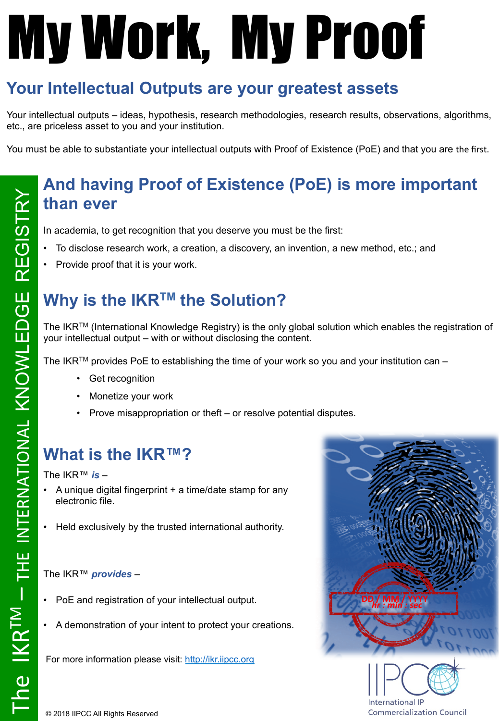# My Work, My Proof

## **Your Intellectual Outputs are your greatest assets**

Your intellectual outputs – ideas, hypothesis, research methodologies, research results, observations, algorithms, etc., are priceless asset to you and your institution.

You must be able to substantiate your intellectual outputs with Proof of Existence (PoE) and that you are the first.

#### **And having Proof of Existence (PoE) is more important than ever**

In academia, to get recognition that you deserve you must be the first:

- To disclose research work, a creation, a discovery, an invention, a new method, etc.; and
- Provide proof that it is your work.

#### **Why is the IKRTM the Solution?**

The IKR<sup>TM</sup> (International Knowledge Registry) is the only global solution which enables the registration of your intellectual output – with or without disclosing the content.

The IKR<sup>TM</sup> provides PoE to establishing the time of your work so you and your institution can –

- Get recognition
- Monetize your work
- Prove misappropriation or theft or resolve potential disputes.

#### **What is the IKR™?**

The IKR™ *is* –

- A unique digital fingerprint + a time/date stamp for any electronic file.
- Held exclusively by the trusted international authority.

#### The IKR™ *provides* –

- PoE and registration of your intellectual output.
- A demonstration of your intent to protect your creations.

For more information please visit: http://ikr.iipcc.org